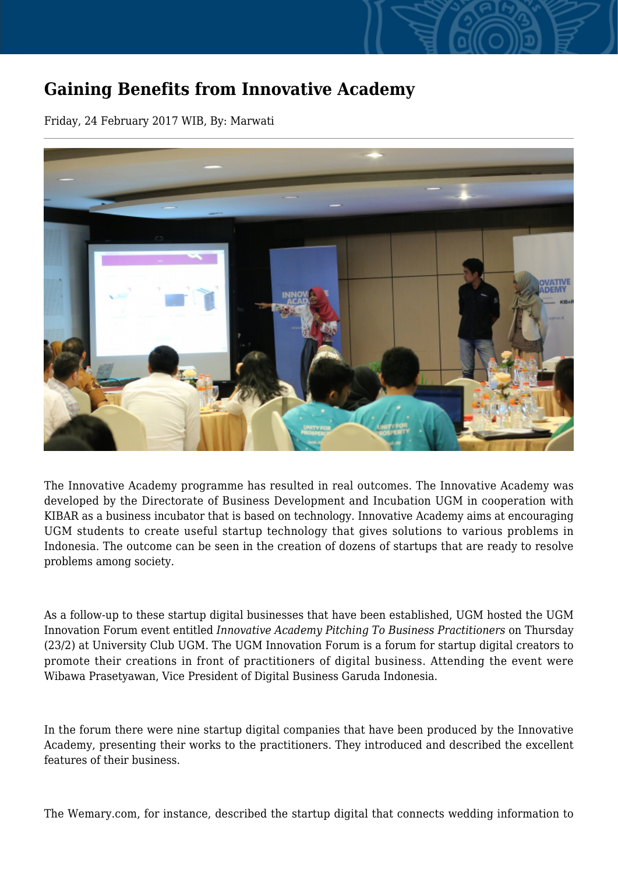## **Gaining Benefits from Innovative Academy**

Friday, 24 February 2017 WIB, By: Marwati



The Innovative Academy programme has resulted in real outcomes. The Innovative Academy was developed by the Directorate of Business Development and Incubation UGM in cooperation with KIBAR as a business incubator that is based on technology. Innovative Academy aims at encouraging UGM students to create useful startup technology that gives solutions to various problems in Indonesia. The outcome can be seen in the creation of dozens of startups that are ready to resolve problems among society.

As a follow-up to these startup digital businesses that have been established, UGM hosted the UGM Innovation Forum event entitled *Innovative Academy Pitching To Business Practitioners* on Thursday (23/2) at University Club UGM. The UGM Innovation Forum is a forum for startup digital creators to promote their creations in front of practitioners of digital business. Attending the event were Wibawa Prasetyawan, Vice President of Digital Business Garuda Indonesia.

In the forum there were nine startup digital companies that have been produced by the Innovative Academy, presenting their works to the practitioners. They introduced and described the excellent features of their business.

The Wemary.com, for instance, described the startup digital that connects wedding information to